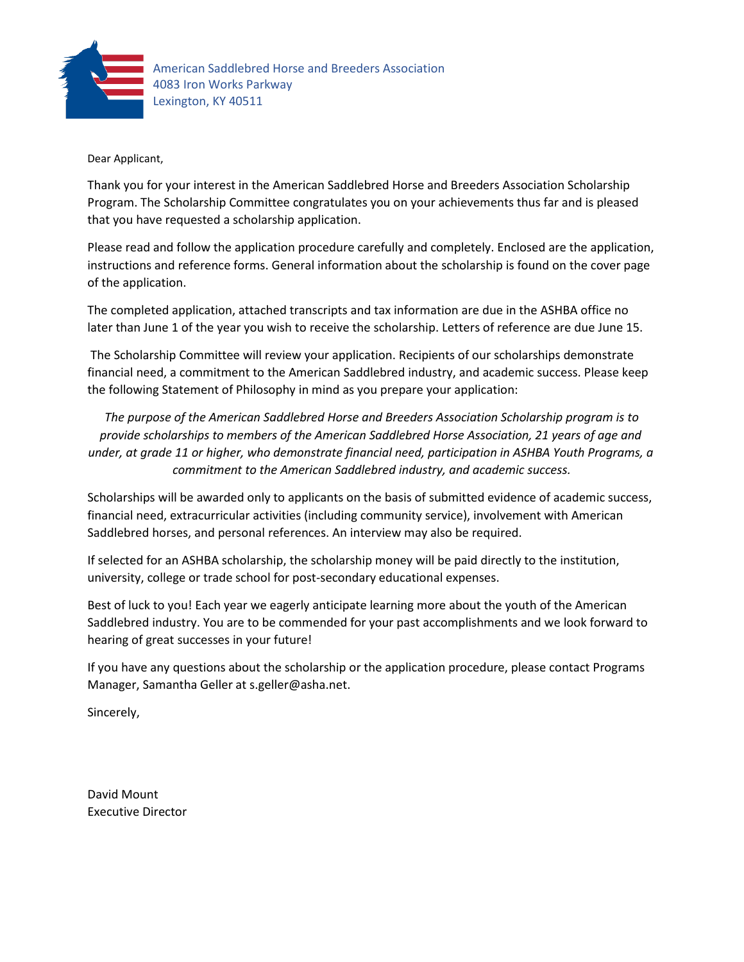

#### Dear Applicant,

Thank you for your interest in the American Saddlebred Horse and Breeders Association Scholarship Program. The Scholarship Committee congratulates you on your achievements thus far and is pleased that you have requested a scholarship application.

Please read and follow the application procedure carefully and completely. Enclosed are the application, instructions and reference forms. General information about the scholarship is found on the cover page of the application.

The completed application, attached transcripts and tax information are due in the ASHBA office no later than June 1 of the year you wish to receive the scholarship. Letters of reference are due June 15.

The Scholarship Committee will review your application. Recipients of our scholarships demonstrate financial need, a commitment to the American Saddlebred industry, and academic success. Please keep the following Statement of Philosophy in mind as you prepare your application:

*The purpose of the American Saddlebred Horse and Breeders Association Scholarship program is to provide scholarships to members of the American Saddlebred Horse Association, 21 years of age and under, at grade 11 or higher, who demonstrate financial need, participation in ASHBA Youth Programs, a commitment to the American Saddlebred industry, and academic success.*

Scholarships will be awarded only to applicants on the basis of submitted evidence of academic success, financial need, extracurricular activities (including community service), involvement with American Saddlebred horses, and personal references. An interview may also be required.

If selected for an ASHBA scholarship, the scholarship money will be paid directly to the institution, university, college or trade school for post-secondary educational expenses.

Best of luck to you! Each year we eagerly anticipate learning more about the youth of the American Saddlebred industry. You are to be commended for your past accomplishments and we look forward to hearing of great successes in your future!

If you have any questions about the scholarship or the application procedure, please contact Programs Manager, Samantha Geller at s.geller@asha.net.

Sincerely,

David Mount Executive Director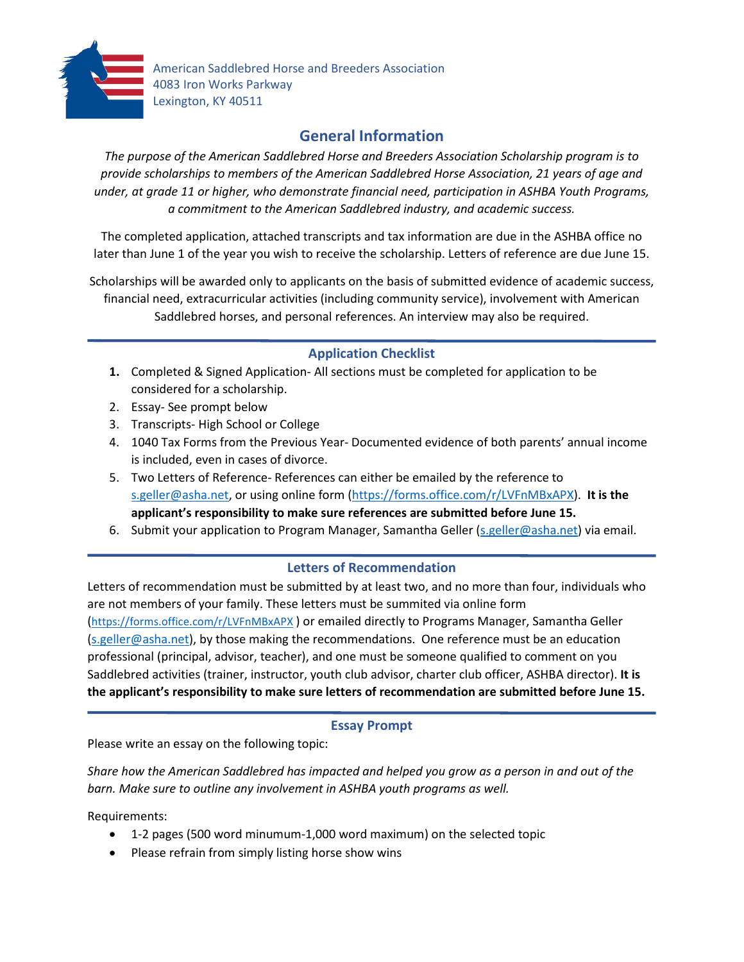

American Saddlebred Horse and Breeders Association 4083 Iron Works Parkway Lexington, KY 40511

# **General Information**

*The purpose of the American Saddlebred Horse and Breeders Association Scholarship program is to provide scholarships to members of the American Saddlebred Horse Association, 21 years of age and under, at grade 11 or higher, who demonstrate financial need, participation in ASHBA Youth Programs, a commitment to the American Saddlebred industry, and academic success.* 

The completed application, attached transcripts and tax information are due in the ASHBA office no later than June 1 of the year you wish to receive the scholarship. Letters of reference are due June 15.

Scholarships will be awarded only to applicants on the basis of submitted evidence of academic success, financial need, extracurricular activities (including community service), involvement with American Saddlebred horses, and personal references. An interview may also be required.

## **Application Checklist**

- **1.** Completed & Signed Application- All sections must be completed for application to be considered for a scholarship.
- 2. Essay- See prompt below
- 3. Transcripts- High School or College
- 4. 1040 Tax Forms from the Previous Year- Documented evidence of both parents' annual income is included, even in cases of divorce.
- 5. Two Letters of Reference- References can either be emailed by the reference to [s.geller@asha.net,](mailto:s.geller@asha.net) or using online form [\(https://forms.office.com/r/LVFnMBxAPX\)](https://forms.office.com/r/LVFnMBxAPX). **It is the applicant's responsibility to make sure references are submitted before June 15.**
- 6. Submit your application to Program Manager, Samantha Geller [\(s.geller@asha.net\)](mailto:s.geller@asha.net) via email.

### **Letters of Recommendation**

Letters of recommendation must be submitted by at least two, and no more than four, individuals who are not members of your family. These letters must be summited via online form [\(https://forms.office.com/r/LVFnMBxAPX](https://forms.office.com/r/LVFnMBxAPX) ) or emailed directly to Programs Manager, Samantha Geller [\(s.geller@asha.net\)](mailto:s.geller@asha.net), by those making the recommendations. One reference must be an education professional (principal, advisor, teacher), and one must be someone qualified to comment on you Saddlebred activities (trainer, instructor, youth club advisor, charter club officer, ASHBA director). **It is the applicant's responsibility to make sure letters of recommendation are submitted before June 15.**

### **Essay Prompt**

Please write an essay on the following topic:

*Share how the American Saddlebred has impacted and helped you grow as a person in and out of the barn. Make sure to outline any involvement in ASHBA youth programs as well.* 

Requirements:

- 1-2 pages (500 word minumum-1,000 word maximum) on the selected topic
- Please refrain from simply listing horse show wins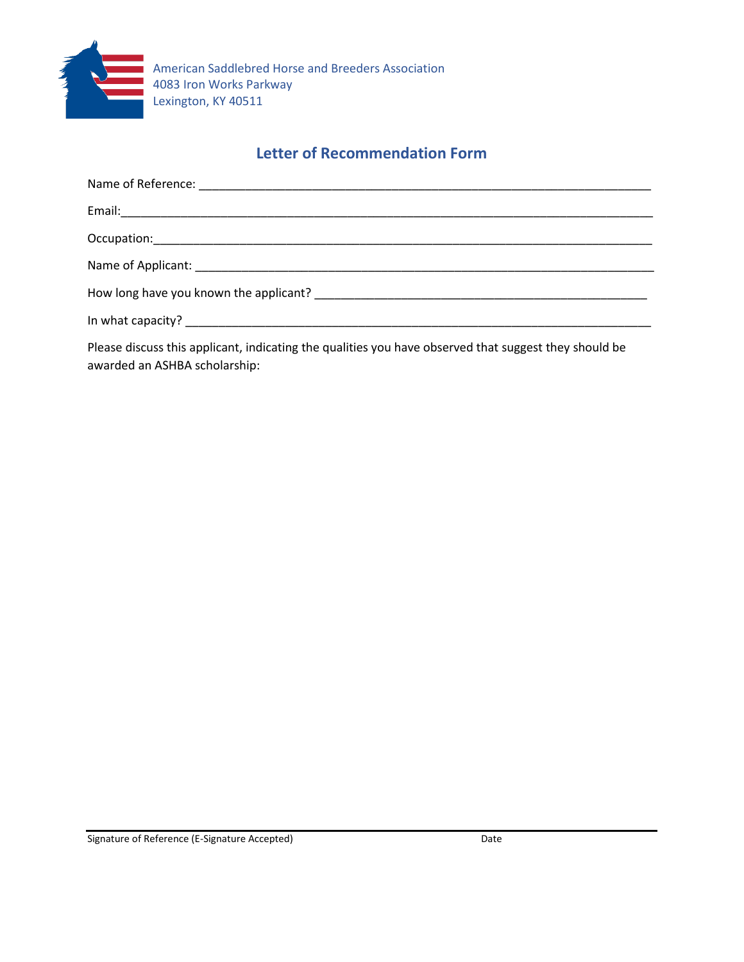

## **Letter of Recommendation Form**

| How long have you known the applicant? The manufacturer of the state of the state of the state of the state of |
|----------------------------------------------------------------------------------------------------------------|
|                                                                                                                |
|                                                                                                                |

Please discuss this applicant, indicating the qualities you have observed that suggest they should be awarded an ASHBA scholarship: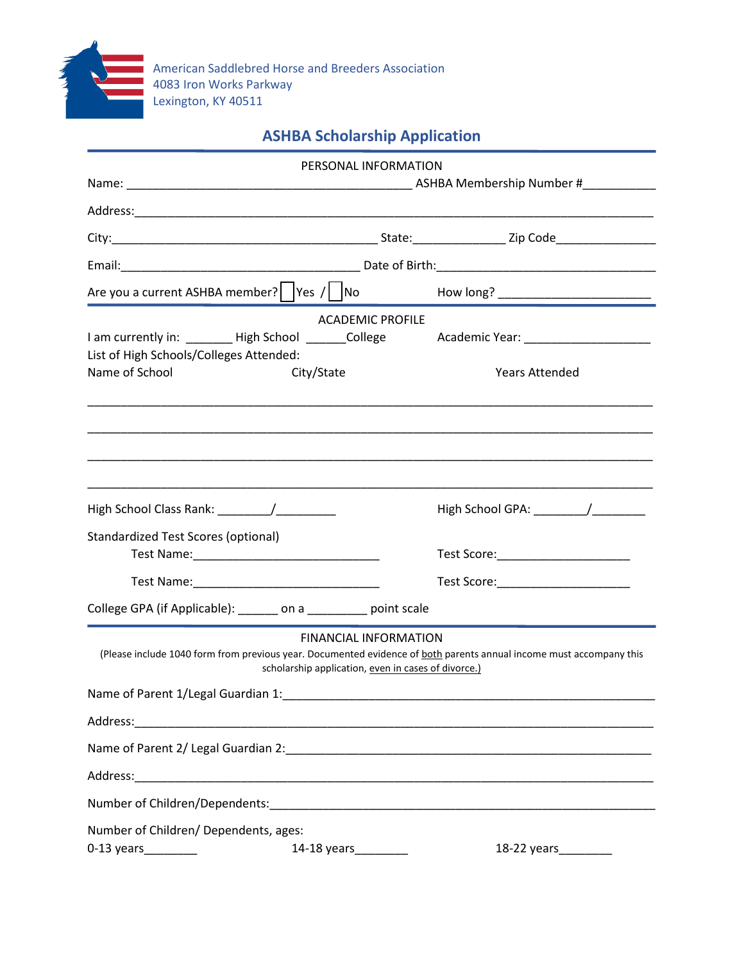

# **ASHBA Scholarship Application**

|                                                                                                                                                                            | PERSONAL INFORMATION         |                                      |
|----------------------------------------------------------------------------------------------------------------------------------------------------------------------------|------------------------------|--------------------------------------|
|                                                                                                                                                                            |                              |                                      |
|                                                                                                                                                                            |                              |                                      |
|                                                                                                                                                                            |                              |                                      |
|                                                                                                                                                                            |                              |                                      |
| Are you a current ASHBA member?   $\left  \frac{1}{100} \right $   No                                                                                                      |                              |                                      |
|                                                                                                                                                                            | <b>ACADEMIC PROFILE</b>      |                                      |
| I am currently in: ________ High School _______College<br>List of High Schools/Colleges Attended:                                                                          |                              | Academic Year: _____________________ |
| Name of School<br>City/State                                                                                                                                               |                              | <b>Years Attended</b>                |
|                                                                                                                                                                            |                              |                                      |
|                                                                                                                                                                            |                              |                                      |
|                                                                                                                                                                            |                              |                                      |
| <b>Standardized Test Scores (optional)</b>                                                                                                                                 |                              |                                      |
|                                                                                                                                                                            |                              |                                      |
|                                                                                                                                                                            |                              | Test Score:_________________________ |
| College GPA (if Applicable): ______ on a _______ point scale                                                                                                               |                              |                                      |
| (Please include 1040 form from previous year. Documented evidence of both parents annual income must accompany this<br>scholarship application, even in cases of divorce.) | <b>FINANCIAL INFORMATION</b> |                                      |
| Name of Parent 1/Legal Guardian 1:                                                                                                                                         |                              |                                      |
|                                                                                                                                                                            |                              |                                      |
| Name of Parent 2/ Legal Guardian 2: \\connection \\connection \\connection \\connection \\connection \\connect                                                             |                              |                                      |
|                                                                                                                                                                            |                              |                                      |
|                                                                                                                                                                            |                              |                                      |
| Number of Children/ Dependents, ages:                                                                                                                                      |                              |                                      |
|                                                                                                                                                                            |                              | 18-22 years_________                 |